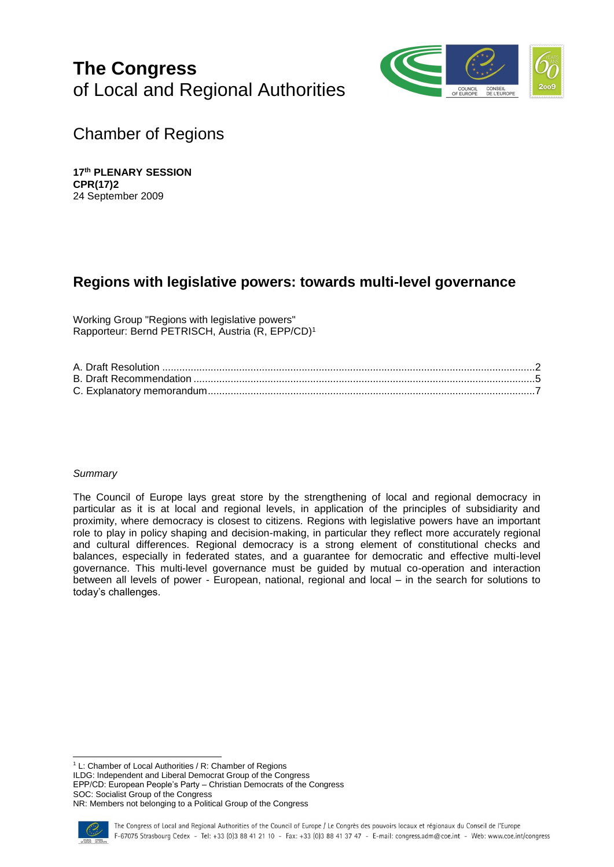# **The Congress** of Local and Regional Authorities



Chamber of Regions

**17th PLENARY SESSION CPR(17)2** 24 September 2009

# **Regions with legislative powers: towards multi-level governance**

Working Group "Regions with legislative powers" Rapporteur: Bernd PETRISCH, Austria (R, EPP/CD) 1

# *Summary*

The Council of Europe lays great store by the strengthening of local and regional democracy in particular as it is at local and regional levels, in application of the principles of subsidiarity and proximity, where democracy is closest to citizens. Regions with legislative powers have an important role to play in policy shaping and decision-making, in particular they reflect more accurately regional and cultural differences. Regional democracy is a strong element of constitutional checks and balances, especially in federated states, and a guarantee for democratic and effective multi-level governance. This multi-level governance must be guided by mutual co-operation and interaction between all levels of power - European, national, regional and local – in the search for solutions to today's challenges.

l <sup>1</sup> L: Chamber of Local Authorities / R: Chamber of Regions ILDG: Independent and Liberal Democrat Group of the Congress EPP/CD: European People's Party – Christian Democrats of the Congress SOC: Socialist Group of the Congress NR: Members not belonging to a Political Group of the Congress

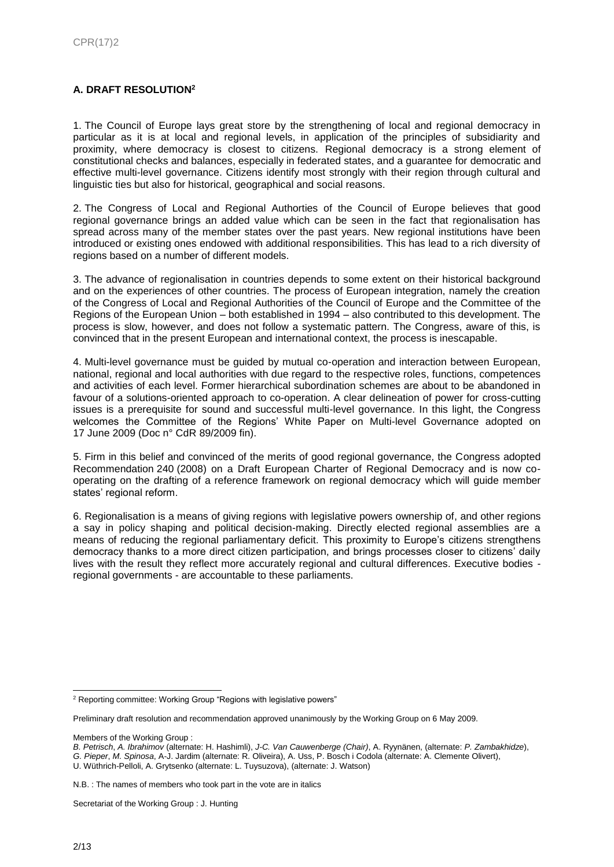# **A. DRAFT RESOLUTION<sup>2</sup>**

1. The Council of Europe lays great store by the strengthening of local and regional democracy in particular as it is at local and regional levels, in application of the principles of subsidiarity and proximity, where democracy is closest to citizens. Regional democracy is a strong element of constitutional checks and balances, especially in federated states, and a guarantee for democratic and effective multi-level governance. Citizens identify most strongly with their region through cultural and linguistic ties but also for historical, geographical and social reasons.

2. The Congress of Local and Regional Authorties of the Council of Europe believes that good regional governance brings an added value which can be seen in the fact that regionalisation has spread across many of the member states over the past years. New regional institutions have been introduced or existing ones endowed with additional responsibilities. This has lead to a rich diversity of regions based on a number of different models.

3. The advance of regionalisation in countries depends to some extent on their historical background and on the experiences of other countries. The process of European integration, namely the creation of the Congress of Local and Regional Authorities of the Council of Europe and the Committee of the Regions of the European Union – both established in 1994 – also contributed to this development. The process is slow, however, and does not follow a systematic pattern. The Congress, aware of this, is convinced that in the present European and international context, the process is inescapable.

4. Multi-level governance must be guided by mutual co-operation and interaction between European, national, regional and local authorities with due regard to the respective roles, functions, competences and activities of each level. Former hierarchical subordination schemes are about to be abandoned in favour of a solutions-oriented approach to co-operation. A clear delineation of power for cross-cutting issues is a prerequisite for sound and successful multi-level governance. In this light, the Congress welcomes the Committee of the Regions' White Paper on Multi-level Governance adopted on 17 June 2009 (Doc n° CdR 89/2009 fin).

5. Firm in this belief and convinced of the merits of good regional governance, the Congress adopted Recommendation 240 (2008) on a Draft European Charter of Regional Democracy and is now cooperating on the drafting of a reference framework on regional democracy which will guide member states' regional reform.

6. Regionalisation is a means of giving regions with legislative powers ownership of, and other regions a say in policy shaping and political decision-making. Directly elected regional assemblies are a means of reducing the regional parliamentary deficit. This proximity to Europe's citizens strengthens democracy thanks to a more direct citizen participation, and brings processes closer to citizens' daily lives with the result they reflect more accurately regional and cultural differences. Executive bodies regional governments - are accountable to these parliaments.

Members of the Working Group :

*B. Petrisch*, *A. Ibrahimov* (alternate: H. Hashimli), *J-C. Van Cauwenberge (Chair)*, A. Ryynänen, (alternate: *P. Zambakhidze*), *G. Pieper*, *M. Spinosa*, A-J. Jardim (alternate: R. Oliveira), A. Uss, P. Bosch i Codola (alternate: A. Clemente Olivert), U. Wüthrich-Pelloli, A. Grytsenko (alternate: L. Tuysuzova), (alternate: J. Watson)

Secretariat of the Working Group : J. Hunting

l <sup>2</sup> Reporting committee: Working Group "Regions with legislative powers"

Preliminary draft resolution and recommendation approved unanimously by the Working Group on 6 May 2009.

N.B. : The names of members who took part in the vote are in italics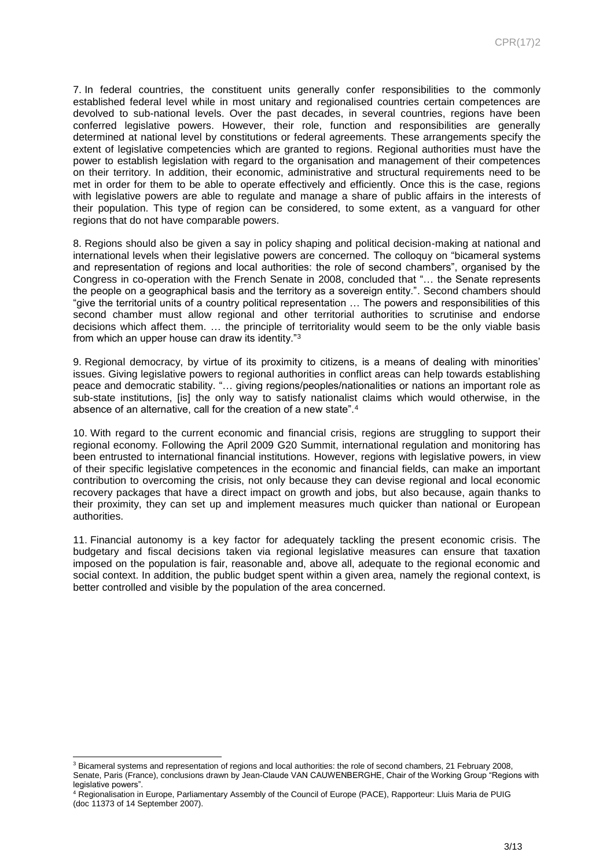7. In federal countries, the constituent units generally confer responsibilities to the commonly established federal level while in most unitary and regionalised countries certain competences are devolved to sub-national levels. Over the past decades, in several countries, regions have been conferred legislative powers. However, their role, function and responsibilities are generally determined at national level by constitutions or federal agreements. These arrangements specify the extent of legislative competencies which are granted to regions. Regional authorities must have the power to establish legislation with regard to the organisation and management of their competences on their territory. In addition, their economic, administrative and structural requirements need to be met in order for them to be able to operate effectively and efficiently. Once this is the case, regions with legislative powers are able to regulate and manage a share of public affairs in the interests of their population. This type of region can be considered, to some extent, as a vanguard for other regions that do not have comparable powers.

8. Regions should also be given a say in policy shaping and political decision-making at national and international levels when their legislative powers are concerned. The colloquy on "bicameral systems and representation of regions and local authorities: the role of second chambers", organised by the Congress in co-operation with the French Senate in 2008, concluded that "… the Senate represents the people on a geographical basis and the territory as a sovereign entity.". Second chambers should "give the territorial units of a country political representation … The powers and responsibilities of this second chamber must allow regional and other territorial authorities to scrutinise and endorse decisions which affect them. … the principle of territoriality would seem to be the only viable basis from which an upper house can draw its identity."<sup>3</sup>

9. Regional democracy, by virtue of its proximity to citizens, is a means of dealing with minorities' issues. Giving legislative powers to regional authorities in conflict areas can help towards establishing peace and democratic stability. "… giving regions/peoples/nationalities or nations an important role as sub-state institutions, [is] the only way to satisfy nationalist claims which would otherwise, in the absence of an alternative, call for the creation of a new state".<sup>4</sup>

10. With regard to the current economic and financial crisis, regions are struggling to support their regional economy. Following the April 2009 G20 Summit, international regulation and monitoring has been entrusted to international financial institutions. However, regions with legislative powers, in view of their specific legislative competences in the economic and financial fields, can make an important contribution to overcoming the crisis, not only because they can devise regional and local economic recovery packages that have a direct impact on growth and jobs, but also because, again thanks to their proximity, they can set up and implement measures much quicker than national or European authorities.

11. Financial autonomy is a key factor for adequately tackling the present economic crisis. The budgetary and fiscal decisions taken via regional legislative measures can ensure that taxation imposed on the population is fair, reasonable and, above all, adequate to the regional economic and social context. In addition, the public budget spent within a given area, namely the regional context, is better controlled and visible by the population of the area concerned.

l <sup>3</sup> Bicameral systems and representation of regions and local authorities: the role of second chambers, 21 February 2008, Senate, Paris (France), conclusions drawn by Jean-Claude VAN CAUWENBERGHE, Chair of the Working Group "Regions with legislative powers".

<sup>4</sup> Regionalisation in Europe, Parliamentary Assembly of the Council of Europe (PACE), Rapporteur: Lluis Maria de PUIG (doc 11373 of 14 September 2007).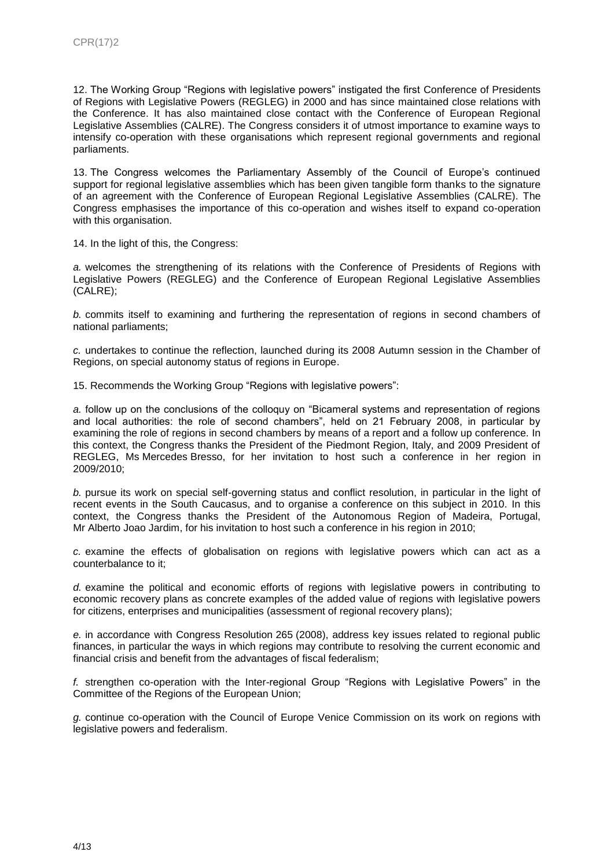12. The Working Group "Regions with legislative powers" instigated the first Conference of Presidents of Regions with Legislative Powers (REGLEG) in 2000 and has since maintained close relations with the Conference. It has also maintained close contact with the Conference of European Regional Legislative Assemblies (CALRE). The Congress considers it of utmost importance to examine ways to intensify co-operation with these organisations which represent regional governments and regional parliaments.

13. The Congress welcomes the Parliamentary Assembly of the Council of Europe's continued support for regional legislative assemblies which has been given tangible form thanks to the signature of an agreement with the Conference of European Regional Legislative Assemblies (CALRE). The Congress emphasises the importance of this co-operation and wishes itself to expand co-operation with this organisation.

14. In the light of this, the Congress:

*a.* welcomes the strengthening of its relations with the Conference of Presidents of Regions with Legislative Powers (REGLEG) and the Conference of European Regional Legislative Assemblies (CALRE);

*b.* commits itself to examining and furthering the representation of regions in second chambers of national parliaments;

*c.* undertakes to continue the reflection, launched during its 2008 Autumn session in the Chamber of Regions, on special autonomy status of regions in Europe.

15. Recommends the Working Group "Regions with legislative powers":

*a.* follow up on the conclusions of the colloquy on "Bicameral systems and representation of regions and local authorities: the role of second chambers", held on 21 February 2008, in particular by examining the role of regions in second chambers by means of a report and a follow up conference. In this context, the Congress thanks the President of the Piedmont Region, Italy, and 2009 President of REGLEG, Ms Mercedes Bresso, for her invitation to host such a conference in her region in 2009/2010;

*b.* pursue its work on special self-governing status and conflict resolution, in particular in the light of recent events in the South Caucasus, and to organise a conference on this subject in 2010. In this context, the Congress thanks the President of the Autonomous Region of Madeira, Portugal, Mr Alberto Joao Jardim, for his invitation to host such a conference in his region in 2010;

*c.* examine the effects of globalisation on regions with legislative powers which can act as a counterbalance to it;

*d.* examine the political and economic efforts of regions with legislative powers in contributing to economic recovery plans as concrete examples of the added value of regions with legislative powers for citizens, enterprises and municipalities (assessment of regional recovery plans);

*e.* in accordance with Congress Resolution 265 (2008), address key issues related to regional public finances, in particular the ways in which regions may contribute to resolving the current economic and financial crisis and benefit from the advantages of fiscal federalism;

*f.* strengthen co-operation with the Inter-regional Group "Regions with Legislative Powers" in the Committee of the Regions of the European Union;

*g.* continue co-operation with the Council of Europe Venice Commission on its work on regions with legislative powers and federalism.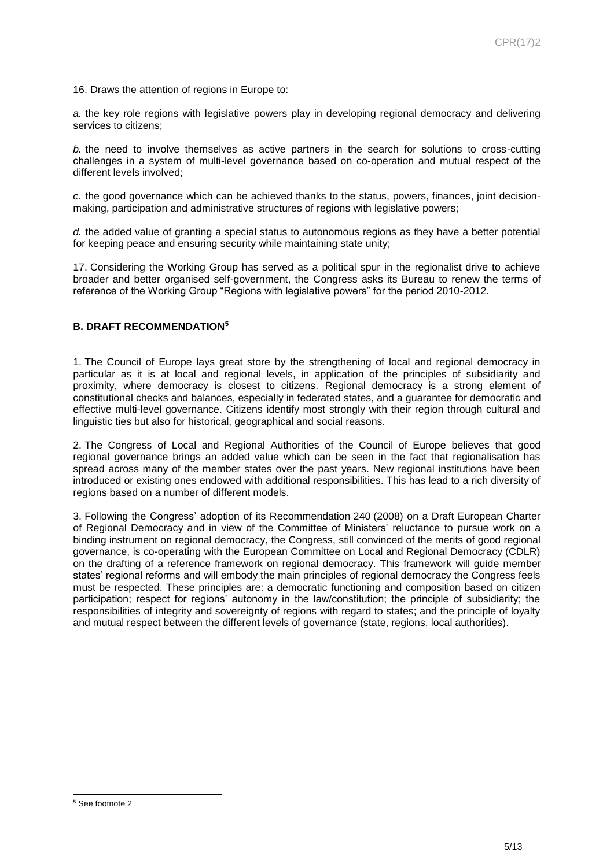16. Draws the attention of regions in Europe to:

*a.* the key role regions with legislative powers play in developing regional democracy and delivering services to citizens;

*b.* the need to involve themselves as active partners in the search for solutions to cross-cutting challenges in a system of multi-level governance based on co-operation and mutual respect of the different levels involved;

*c.* the good governance which can be achieved thanks to the status, powers, finances, joint decisionmaking, participation and administrative structures of regions with legislative powers;

*d.* the added value of granting a special status to autonomous regions as they have a better potential for keeping peace and ensuring security while maintaining state unity;

17. Considering the Working Group has served as a political spur in the regionalist drive to achieve broader and better organised self-government, the Congress asks its Bureau to renew the terms of reference of the Working Group "Regions with legislative powers" for the period 2010-2012.

## **B. DRAFT RECOMMENDATION<sup>5</sup>**

1. The Council of Europe lays great store by the strengthening of local and regional democracy in particular as it is at local and regional levels, in application of the principles of subsidiarity and proximity, where democracy is closest to citizens. Regional democracy is a strong element of constitutional checks and balances, especially in federated states, and a guarantee for democratic and effective multi-level governance. Citizens identify most strongly with their region through cultural and linguistic ties but also for historical, geographical and social reasons.

2. The Congress of Local and Regional Authorities of the Council of Europe believes that good regional governance brings an added value which can be seen in the fact that regionalisation has spread across many of the member states over the past years. New regional institutions have been introduced or existing ones endowed with additional responsibilities. This has lead to a rich diversity of regions based on a number of different models.

3. Following the Congress' adoption of its Recommendation 240 (2008) on a Draft European Charter of Regional Democracy and in view of the Committee of Ministers' reluctance to pursue work on a binding instrument on regional democracy, the Congress, still convinced of the merits of good regional governance, is co-operating with the European Committee on Local and Regional Democracy (CDLR) on the drafting of a reference framework on regional democracy. This framework will guide member states' regional reforms and will embody the main principles of regional democracy the Congress feels must be respected. These principles are: a democratic functioning and composition based on citizen participation; respect for regions' autonomy in the law/constitution; the principle of subsidiarity; the responsibilities of integrity and sovereignty of regions with regard to states; and the principle of loyalty and mutual respect between the different levels of governance (state, regions, local authorities).

l <sup>5</sup> See footnote 2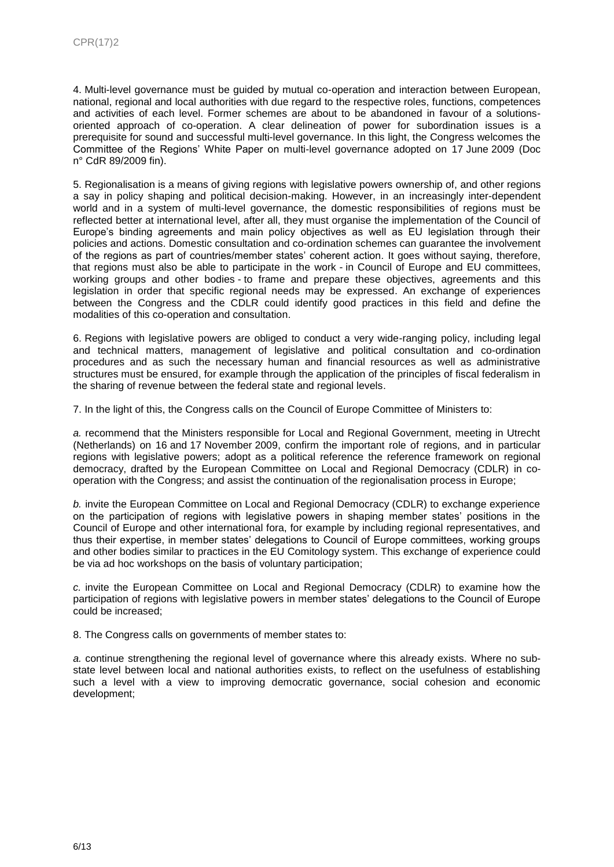4. Multi-level governance must be guided by mutual co-operation and interaction between European, national, regional and local authorities with due regard to the respective roles, functions, competences and activities of each level. Former schemes are about to be abandoned in favour of a solutionsoriented approach of co-operation. A clear delineation of power for subordination issues is a prerequisite for sound and successful multi-level governance. In this light, the Congress welcomes the Committee of the Regions' White Paper on multi-level governance adopted on 17 June 2009 (Doc n° CdR 89/2009 fin).

5. Regionalisation is a means of giving regions with legislative powers ownership of, and other regions a say in policy shaping and political decision-making. However, in an increasingly inter-dependent world and in a system of multi-level governance, the domestic responsibilities of regions must be reflected better at international level, after all, they must organise the implementation of the Council of Europe's binding agreements and main policy objectives as well as EU legislation through their policies and actions. Domestic consultation and co-ordination schemes can guarantee the involvement of the regions as part of countries/member states' coherent action. It goes without saying, therefore, that regions must also be able to participate in the work - in Council of Europe and EU committees, working groups and other bodies - to frame and prepare these objectives, agreements and this legislation in order that specific regional needs may be expressed. An exchange of experiences between the Congress and the CDLR could identify good practices in this field and define the modalities of this co-operation and consultation.

6. Regions with legislative powers are obliged to conduct a very wide-ranging policy, including legal and technical matters, management of legislative and political consultation and co-ordination procedures and as such the necessary human and financial resources as well as administrative structures must be ensured, for example through the application of the principles of fiscal federalism in the sharing of revenue between the federal state and regional levels.

7. In the light of this, the Congress calls on the Council of Europe Committee of Ministers to:

*a.* recommend that the Ministers responsible for Local and Regional Government, meeting in Utrecht (Netherlands) on 16 and 17 November 2009, confirm the important role of regions, and in particular regions with legislative powers; adopt as a political reference the reference framework on regional democracy, drafted by the European Committee on Local and Regional Democracy (CDLR) in cooperation with the Congress; and assist the continuation of the regionalisation process in Europe;

*b.* invite the European Committee on Local and Regional Democracy (CDLR) to exchange experience on the participation of regions with legislative powers in shaping member states' positions in the Council of Europe and other international fora, for example by including regional representatives, and thus their expertise, in member states' delegations to Council of Europe committees, working groups and other bodies similar to practices in the EU Comitology system. This exchange of experience could be via ad hoc workshops on the basis of voluntary participation;

*c.* invite the European Committee on Local and Regional Democracy (CDLR) to examine how the participation of regions with legislative powers in member states' delegations to the Council of Europe could be increased;

8. The Congress calls on governments of member states to:

*a.* continue strengthening the regional level of governance where this already exists. Where no substate level between local and national authorities exists, to reflect on the usefulness of establishing such a level with a view to improving democratic governance, social cohesion and economic development;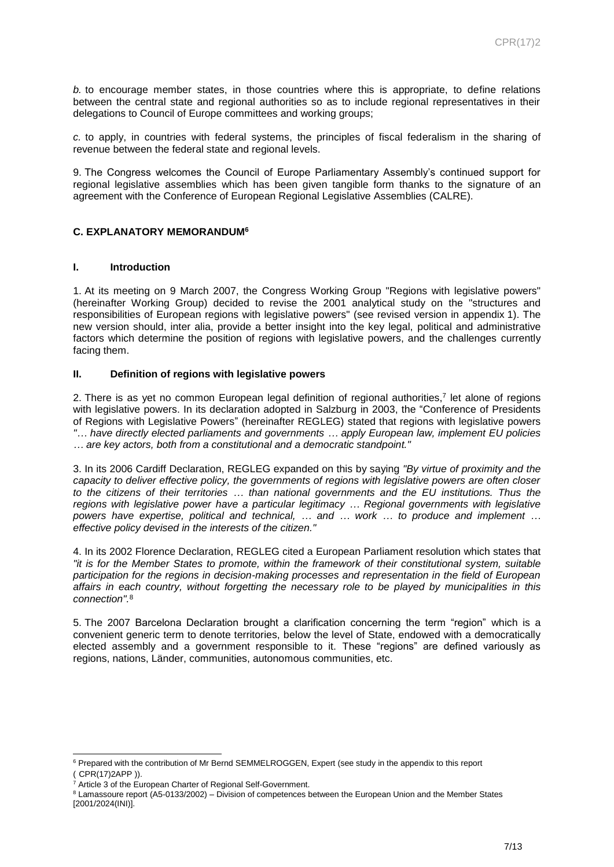*b.* to encourage member states, in those countries where this is appropriate, to define relations between the central state and regional authorities so as to include regional representatives in their delegations to Council of Europe committees and working groups;

*c.* to apply, in countries with federal systems, the principles of fiscal federalism in the sharing of revenue between the federal state and regional levels.

9. The Congress welcomes the Council of Europe Parliamentary Assembly's continued support for regional legislative assemblies which has been given tangible form thanks to the signature of an agreement with the Conference of European Regional Legislative Assemblies (CALRE).

# **C. EXPLANATORY MEMORANDUM<sup>6</sup>**

#### **I. Introduction**

1. At its meeting on 9 March 2007, the Congress Working Group "Regions with legislative powers" (hereinafter Working Group) decided to revise the 2001 analytical study on the "structures and responsibilities of European regions with legislative powers" (see revised version in appendix 1). The new version should, inter alia, provide a better insight into the key legal, political and administrative factors which determine the position of regions with legislative powers, and the challenges currently facing them.

#### **II. Definition of regions with legislative powers**

2. There is as yet no common European legal definition of regional authorities,<sup>7</sup> let alone of regions with legislative powers. In its declaration adopted in Salzburg in 2003, the "Conference of Presidents of Regions with Legislative Powers" (hereinafter REGLEG) stated that regions with legislative powers *"… have directly elected parliaments and governments … apply European law, implement EU policies … are key actors, both from a constitutional and a democratic standpoint."* 

3. In its 2006 Cardiff Declaration, REGLEG expanded on this by saying *"By virtue of proximity and the capacity to deliver effective policy, the governments of regions with legislative powers are often closer to the citizens of their territories … than national governments and the EU institutions. Thus the regions with legislative power have a particular legitimacy … Regional governments with legislative powers have expertise, political and technical, … and … work … to produce and implement … effective policy devised in the interests of the citizen."*

4. In its 2002 Florence Declaration, REGLEG cited a European Parliament resolution which states that *"it is for the Member States to promote, within the framework of their constitutional system, suitable participation for the regions in decision-making processes and representation in the field of European affairs in each country, without forgetting the necessary role to be played by municipalities in this connection".*<sup>8</sup>

5. The 2007 Barcelona Declaration brought a clarification concerning the term "region" which is a convenient generic term to denote territories, below the level of State, endowed with a democratically elected assembly and a government responsible to it. These "regions" are defined variously as regions, nations, Länder, communities, autonomous communities, etc.

l

<sup>6</sup> Prepared with the contribution of Mr Bernd SEMMELROGGEN, Expert (see study in the appendix to this report ( CPR(17)2APP )).

Article 3 of th[e European Charter of Regional Self-Government.](http://conventions.coe.int/Treaty/EN/Treaties/Html/122.htm)

<sup>&</sup>lt;sup>8</sup> Lamassoure report (A5-0133/2002) – Division of competences between the European Union and the Member States [\[2001/2024\(INI\)\].](http://www.europarl.europa.eu/sides/getDoc.do?language=EN&pubRef=-//EP//NONSGML+REPORT+A5-2002-0133+0+DOC+PDF+V0//EN)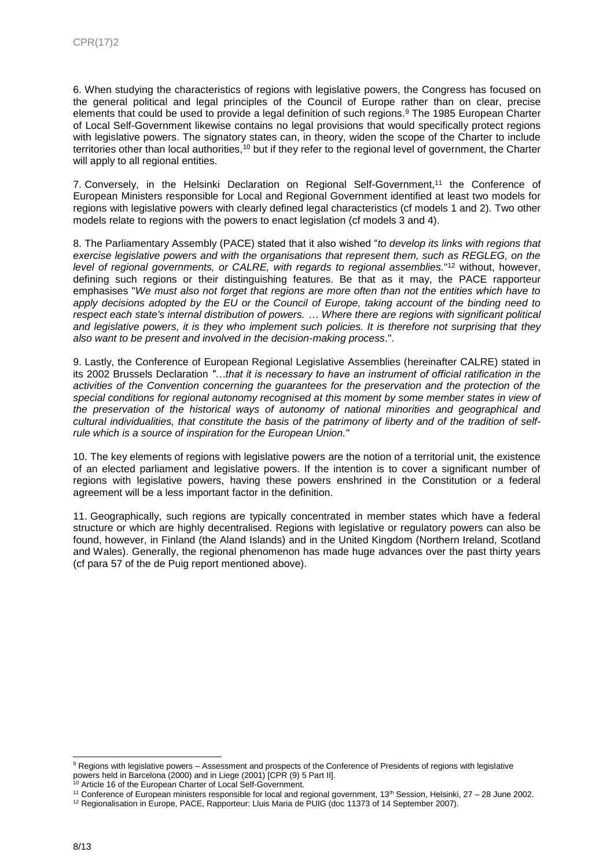6. When studying the characteristics of regions with legislative powers, the Congress has focused on the general political and legal principles of the Council of Europe rather than on clear, precise elements that could be used to provide a legal definition of such regions. <sup>9</sup> The 1985 European Charter of Local Self-Government likewise contains no legal provisions that would specifically protect regions with legislative powers. The signatory states can, in theory, widen the scope of the Charter to include territories other than local authorities,<sup>10</sup> but if they refer to the regional level of government, the Charter will apply to all regional entities.

7. Conversely, in the Helsinki Declaration on Regional Self-Government, <sup>11</sup> the Conference of European Ministers responsible for Local and Regional Government identified at least two models for regions with legislative powers with clearly defined legal characteristics (cf models 1 and 2). Two other models relate to regions with the powers to enact legislation (cf models 3 and 4).

8. The Parliamentary Assembly (PACE) stated that it also wished "*to develop its links with regions that exercise legislative powers and with the organisations that represent them, such as REGLEG, on the level of regional governments, or CALRE, with regards to regional assemblies.*" <sup>12</sup> without, however, defining such regions or their distinguishing features. Be that as it may, the PACE rapporteur emphasises "*We must also not forget that regions are more often than not the entities which have to apply decisions adopted by the EU or the Council of Europe, taking account of the binding need to respect each state's internal distribution of powers. … Where there are regions with significant political and legislative powers, it is they who implement such policies. It is therefore not surprising that they also want to be present and involved in the decision-making process*.".

9. Lastly, the Conference of European Regional Legislative Assemblies (hereinafter CALRE) stated in its 2002 Brussels Declaration *"…that it is necessary to have an instrument of official ratification in the activities of the Convention concerning the guarantees for the preservation and the protection of the special conditions for regional autonomy recognised at this moment by some member states in view of the preservation of the historical ways of autonomy of national minorities and geographical and cultural individualities, that constitute the basis of the patrimony of liberty and of the tradition of selfrule which is a source of inspiration for the European Union."*

10. The key elements of regions with legislative powers are the notion of a territorial unit, the existence of an elected parliament and legislative powers. If the intention is to cover a significant number of regions with legislative powers, having these powers enshrined in the Constitution or a federal agreement will be a less important factor in the definition.

11. Geographically, such regions are typically concentrated in member states which have a federal structure or which are highly decentralised. Regions with legislative or regulatory powers can also be found, however, in Finland (the Aland Islands) and in the United Kingdom (Northern Ireland, Scotland and Wales). Generally, the regional phenomenon has made huge advances over the past thirty years (cf para 57 of the de Puig report mentioned above).

l

<sup>9</sup> Regions with legislative powers – Assessment and prospects of the Conference of Presidents of regions with legislative powers held in Barcelona (2000) and in Liege (2001) [CPR (9) 5 Part II].

<sup>&</sup>lt;sup>10</sup> Article 16 of the European Charter of Local Self-Government.

<sup>11</sup> Conference of European ministers responsible for local and regional government, 13th Session, Helsinki, 27 – 28 June 2002.

<sup>&</sup>lt;sup>12</sup> Regionalisation in Europe, PACE, Rapporteur: Lluis Maria de PUIG (doc 11373 of 14 September 2007).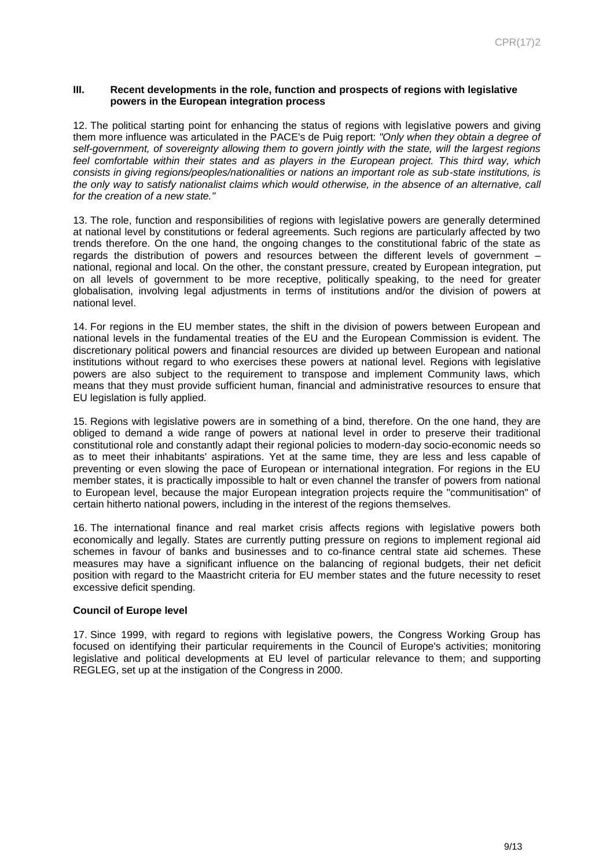#### **III. Recent developments in the role, function and prospects of regions with legislative powers in the European integration process**

12. The political starting point for enhancing the status of regions with legislative powers and giving them more influence was articulated in the PACE's de Puig report: *"Only when they obtain a degree of self-government, of sovereignty allowing them to govern jointly with the state, will the largest regions feel comfortable within their states and as players in the European project. This third way, which consists in giving regions/peoples/nationalities or nations an important role as sub-state institutions, is the only way to satisfy nationalist claims which would otherwise, in the absence of an alternative, call for the creation of a new state."*

13. The role, function and responsibilities of regions with legislative powers are generally determined at national level by constitutions or federal agreements. Such regions are particularly affected by two trends therefore. On the one hand, the ongoing changes to the constitutional fabric of the state as regards the distribution of powers and resources between the different levels of government – national, regional and local. On the other, the constant pressure, created by European integration, put on all levels of government to be more receptive, politically speaking, to the need for greater globalisation, involving legal adjustments in terms of institutions and/or the division of powers at national level.

14. For regions in the EU member states, the shift in the division of powers between European and national levels in the fundamental treaties of the EU and the European Commission is evident. The discretionary political powers and financial resources are divided up between European and national institutions without regard to who exercises these powers at national level. Regions with legislative powers are also subject to the requirement to transpose and implement Community laws, which means that they must provide sufficient human, financial and administrative resources to ensure that EU legislation is fully applied.

15. Regions with legislative powers are in something of a bind, therefore. On the one hand, they are obliged to demand a wide range of powers at national level in order to preserve their traditional constitutional role and constantly adapt their regional policies to modern-day socio-economic needs so as to meet their inhabitants' aspirations. Yet at the same time, they are less and less capable of preventing or even slowing the pace of European or international integration. For regions in the EU member states, it is practically impossible to halt or even channel the transfer of powers from national to European level, because the major European integration projects require the "communitisation" of certain hitherto national powers, including in the interest of the regions themselves.

16. The international finance and real market crisis affects regions with legislative powers both economically and legally. States are currently putting pressure on regions to implement regional aid schemes in favour of banks and businesses and to co-finance central state aid schemes. These measures may have a significant influence on the balancing of regional budgets, their net deficit position with regard to the Maastricht criteria for EU member states and the future necessity to reset excessive deficit spending.

#### **Council of Europe level**

17. Since 1999, with regard to regions with legislative powers, the Congress Working Group has focused on identifying their particular requirements in the Council of Europe's activities; monitoring legislative and political developments at EU level of particular relevance to them; and supporting REGLEG, set up at the instigation of the Congress in 2000.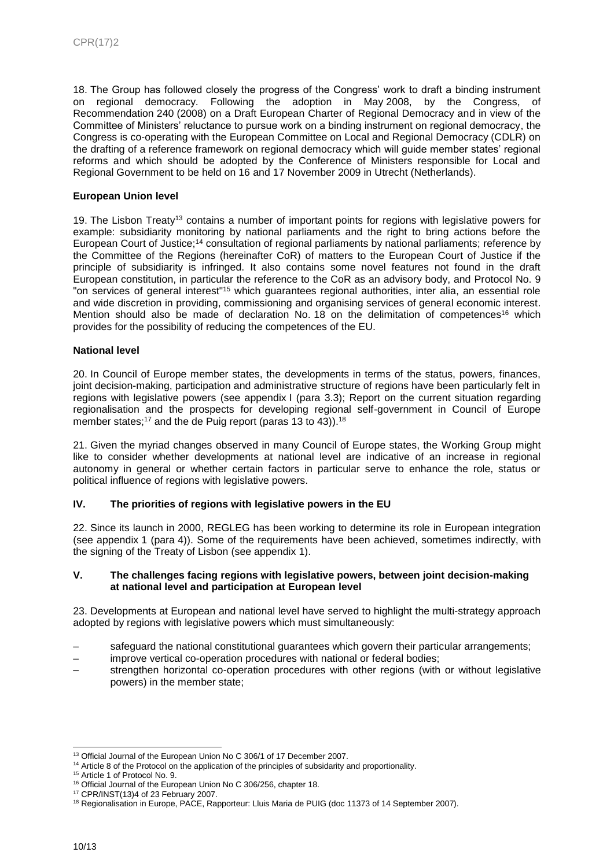18. The Group has followed closely the progress of the Congress' work to draft a binding instrument on regional democracy. Following the adoption in May 2008, by the Congress, of Recommendation 240 (2008) on a Draft European Charter of Regional Democracy and in view of the Committee of Ministers' reluctance to pursue work on a binding instrument on regional democracy, the Congress is co-operating with the European Committee on Local and Regional Democracy (CDLR) on the drafting of a reference framework on regional democracy which will guide member states' regional reforms and which should be adopted by the Conference of Ministers responsible for Local and Regional Government to be held on 16 and 17 November 2009 in Utrecht (Netherlands).

# **European Union level**

19. The Lisbon Treaty<sup>13</sup> contains a number of important points for regions with legislative powers for example: subsidiarity monitoring by national parliaments and the right to bring actions before the European Court of Justice;<sup>14</sup> consultation of regional parliaments by national parliaments; reference by the Committee of the Regions (hereinafter CoR) of matters to the European Court of Justice if the principle of subsidiarity is infringed. It also contains some novel features not found in the draft European constitution, in particular the reference to the CoR as an advisory body, and Protocol No. 9 "on services of general interest"<sup>15</sup> which guarantees regional authorities, inter alia, an essential role and wide discretion in providing, commissioning and organising services of general economic interest. Mention should also be made of declaration No. 18 on the delimitation of competences<sup>16</sup> which provides for the possibility of reducing the competences of the EU.

## **National level**

20. In Council of Europe member states, the developments in terms of the status, powers, finances, joint decision-making, participation and administrative structure of regions have been particularly felt in regions with legislative powers (see appendix I (para 3.3); Report on the current situation regarding regionalisation and the prospects for developing regional self-government in Council of Europe member states;<sup>17</sup> and the de Puig report (paras 13 to 43)).<sup>18</sup>

21. Given the myriad changes observed in many Council of Europe states, the Working Group might like to consider whether developments at national level are indicative of an increase in regional autonomy in general or whether certain factors in particular serve to enhance the role, status or political influence of regions with legislative powers.

# **IV. The priorities of regions with legislative powers in the EU**

22. Since its launch in 2000, REGLEG has been working to determine its role in European integration (see appendix 1 (para 4)). Some of the requirements have been achieved, sometimes indirectly, with the signing of the Treaty of Lisbon (see appendix 1).

#### **V. The challenges facing regions with legislative powers, between joint decision-making at national level and participation at European level**

23. Developments at European and national level have served to highlight the multi-strategy approach adopted by regions with legislative powers which must simultaneously:

- safeguard the national constitutional guarantees which govern their particular arrangements;
- improve vertical co-operation procedures with national or federal bodies;
- strengthen horizontal co-operation procedures with other regions (with or without legislative powers) in the member state;

l <sup>13</sup> Official Journal of the European Union No C [306/1](http://europa.eu.int/eur-lex/lex/en/treaties/dat/12007L/htm/12007L.html) of 17 December 2007.

<sup>&</sup>lt;sup>14</sup> Article 8 of the [Protocol on the application of the principles of subsidarity and proportionality.](http://eur-lex.europa.eu/LexUriServ/LexUriServ.do?uri=OJ:C:2004:310:0207:0209:EN:PDF)

<sup>15</sup> Article 1 o[f Protocol No. 9.](http://eur-lex.europa.eu/LexUriServ/LexUriServ.do?uri=OJ:C:2007:306:0158:0159:EN:PDF)

<sup>16</sup> Official Journal of the European Union No C 306/256, chapter 18.

<sup>17</sup> CPR/INST(13)4 of 23 February 2007.

<sup>&</sup>lt;sup>18</sup> Regionalisation in Europe, PACE, Rapporteur: Lluis Maria de PUIG (doc 11373 of 14 September 2007).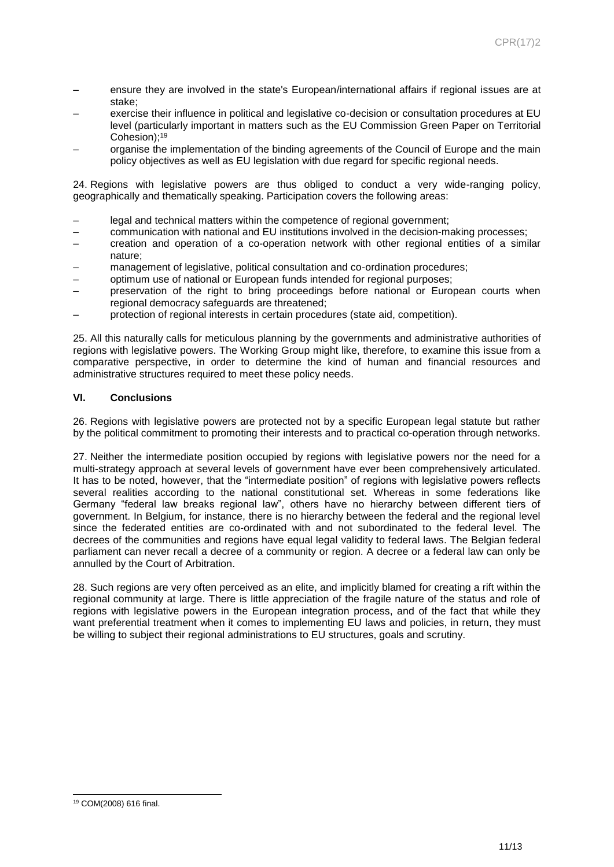- ensure they are involved in the state's European/international affairs if regional issues are at stake;
- exercise their influence in political and legislative co-decision or consultation procedures at EU level (particularly important in matters such as the EU Commission Green Paper on Territorial Cohesion);<sup>19</sup>
- organise the implementation of the binding agreements of the Council of Europe and the main policy objectives as well as EU legislation with due regard for specific regional needs.

24. Regions with legislative powers are thus obliged to conduct a very wide-ranging policy, geographically and thematically speaking. Participation covers the following areas:

- legal and technical matters within the competence of regional government;
- communication with national and EU institutions involved in the decision-making processes;
- creation and operation of a co-operation network with other regional entities of a similar nature;
- management of legislative, political consultation and co-ordination procedures;
- optimum use of national or European funds intended for regional purposes;
- preservation of the right to bring proceedings before national or European courts when regional democracy safeguards are threatened;
- protection of regional interests in certain procedures (state aid, competition).

25. All this naturally calls for meticulous planning by the governments and administrative authorities of regions with legislative powers. The Working Group might like, therefore, to examine this issue from a comparative perspective, in order to determine the kind of human and financial resources and administrative structures required to meet these policy needs.

# **VI. Conclusions**

26. Regions with legislative powers are protected not by a specific European legal statute but rather by the political commitment to promoting their interests and to practical co-operation through networks.

27. Neither the intermediate position occupied by regions with legislative powers nor the need for a multi-strategy approach at several levels of government have ever been comprehensively articulated. It has to be noted, however, that the "intermediate position" of regions with legislative powers reflects several realities according to the national constitutional set. Whereas in some federations like Germany "federal law breaks regional law", others have no hierarchy between different tiers of government. In Belgium, for instance, there is no hierarchy between the federal and the regional level since the federated entities are co-ordinated with and not subordinated to the federal level. The decrees of the communities and regions have equal legal validity to federal laws. The Belgian federal parliament can never recall a decree of a community or region. A decree or a federal law can only be annulled by the Court of Arbitration.

28. Such regions are very often perceived as an elite, and implicitly blamed for creating a rift within the regional community at large. There is little appreciation of the fragile nature of the status and role of regions with legislative powers in the European integration process, and of the fact that while they want preferential treatment when it comes to implementing EU laws and policies, in return, they must be willing to subject their regional administrations to EU structures, goals and scrutiny.

l <sup>19</sup> COM(2008) 616 final.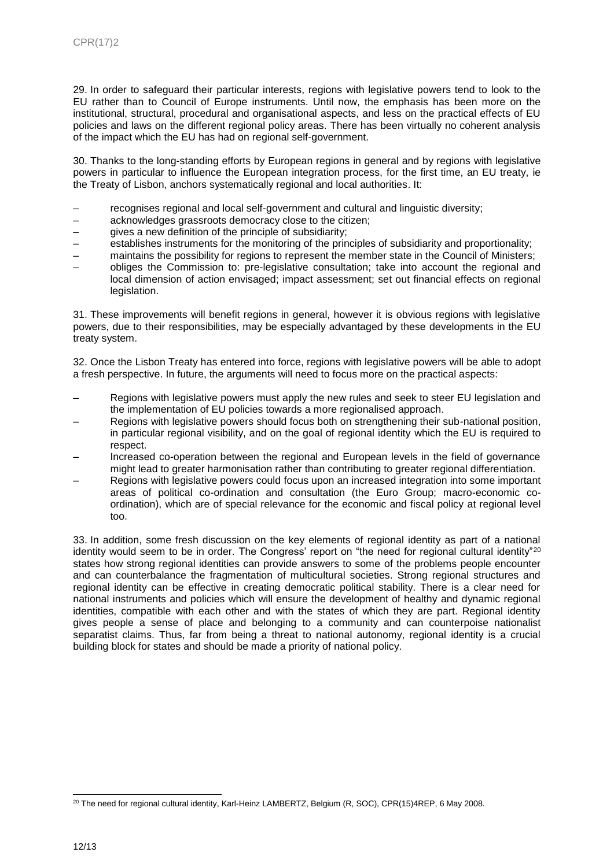29. In order to safeguard their particular interests, regions with legislative powers tend to look to the EU rather than to Council of Europe instruments. Until now, the emphasis has been more on the institutional, structural, procedural and organisational aspects, and less on the practical effects of EU policies and laws on the different regional policy areas. There has been virtually no coherent analysis of the impact which the EU has had on regional self-government.

30. Thanks to the long-standing efforts by European regions in general and by regions with legislative powers in particular to influence the European integration process, for the first time, an EU treaty, ie the Treaty of Lisbon, anchors systematically regional and local authorities. It:

- recognises regional and local self-government and cultural and linguistic diversity;
- acknowledges grassroots democracy close to the citizen;
- gives a new definition of the principle of subsidiarity;
- establishes instruments for the monitoring of the principles of subsidiarity and proportionality;
- maintains the possibility for regions to represent the member state in the Council of Ministers;
- obliges the Commission to: pre-legislative consultation; take into account the regional and local dimension of action envisaged; impact assessment; set out financial effects on regional legislation.

31. These improvements will benefit regions in general, however it is obvious regions with legislative powers, due to their responsibilities, may be especially advantaged by these developments in the EU treaty system.

32. Once the Lisbon Treaty has entered into force, regions with legislative powers will be able to adopt a fresh perspective. In future, the arguments will need to focus more on the practical aspects:

- Regions with legislative powers must apply the new rules and seek to steer EU legislation and the implementation of EU policies towards a more regionalised approach.
- Regions with legislative powers should focus both on strengthening their sub-national position, in particular regional visibility, and on the goal of regional identity which the EU is required to respect.
- Increased co-operation between the regional and European levels in the field of governance might lead to greater harmonisation rather than contributing to greater regional differentiation.
- Regions with legislative powers could focus upon an increased integration into some important areas of political co-ordination and consultation (the Euro Group; macro-economic coordination), which are of special relevance for the economic and fiscal policy at regional level too.

33. In addition, some fresh discussion on the key elements of regional identity as part of a national identity would seem to be in order. The Congress' report on "the need for regional cultural identity"<sup>20</sup> states how strong regional identities can provide answers to some of the problems people encounter and can counterbalance the fragmentation of multicultural societies. Strong regional structures and regional identity can be effective in creating democratic political stability. There is a clear need for national instruments and policies which will ensure the development of healthy and dynamic regional identities, compatible with each other and with the states of which they are part. Regional identity gives people a sense of place and belonging to a community and can counterpoise nationalist separatist claims. Thus, far from being a threat to national autonomy, regional identity is a crucial building block for states and should be made a priority of national policy.

l <sup>20</sup> The need for regional cultural identity, Karl-Heinz LAMBERTZ, Belgium (R, SOC), CPR(15)4REP, 6 May 2008.